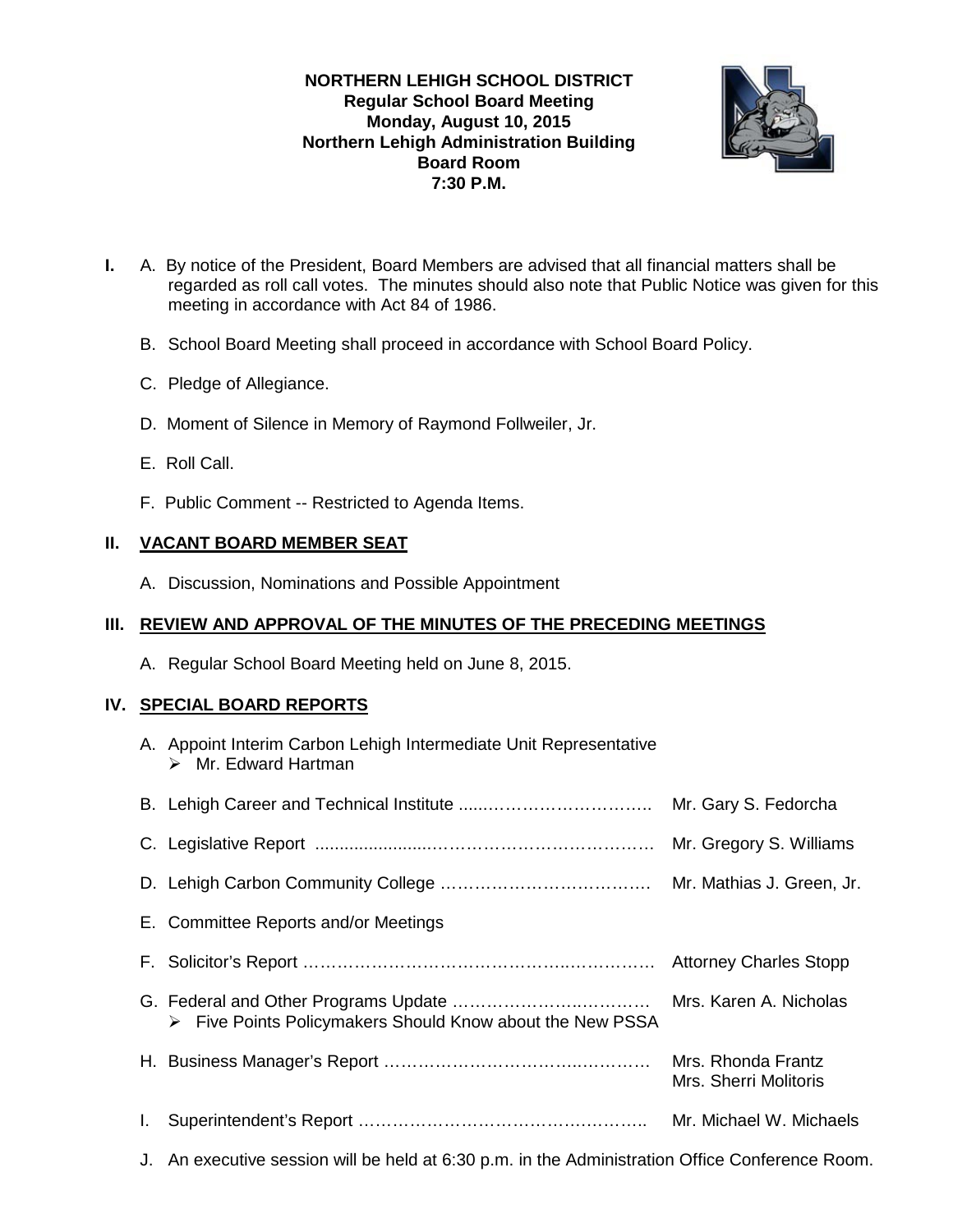## **NORTHERN LEHIGH SCHOOL DISTRICT Regular School Board Meeting Monday, August 10, 2015 Northern Lehigh Administration Building Board Room 7:30 P.M.**



- **I.** A. By notice of the President, Board Members are advised that all financial matters shall be regarded as roll call votes. The minutes should also note that Public Notice was given for this meeting in accordance with Act 84 of 1986.
	- B. School Board Meeting shall proceed in accordance with School Board Policy.
	- C. Pledge of Allegiance.
	- D. Moment of Silence in Memory of Raymond Follweiler, Jr.
	- E. Roll Call.
	- F. Public Comment -- Restricted to Agenda Items.

# **II. VACANT BOARD MEMBER SEAT**

A. Discussion, Nominations and Possible Appointment

## **III. REVIEW AND APPROVAL OF THE MINUTES OF THE PRECEDING MEETINGS**

A. Regular School Board Meeting held on June 8, 2015.

## **IV. SPECIAL BOARD REPORTS**

- A. Appoint Interim Carbon Lehigh Intermediate Unit Representative  $\triangleright$  Mr. Edward Hartman B. Lehigh Career and Technical Institute ......……………………….. Mr. Gary S. Fedorcha C. Legislative Report ........................………………………………… Mr. Gregory S. Williams D. Lehigh Carbon Community College ………………………………. Mr. Mathias J. Green, Jr. E. Committee Reports and/or Meetings F. Solicitor's Report ………………………………………..…………… Attorney Charles Stopp G. Federal and Other Programs Update …………………..………… Mrs. Karen A. Nicholas Five Points Policymakers Should Know about the New PSSA H. Business Manager's Report ……………………………..………… Mrs. Rhonda Frantz Mrs. Sherri Molitoris I. Superintendent's Report ………………………………….……….. Mr. Michael W. Michaels
- J. An executive session will be held at 6:30 p.m. in the Administration Office Conference Room.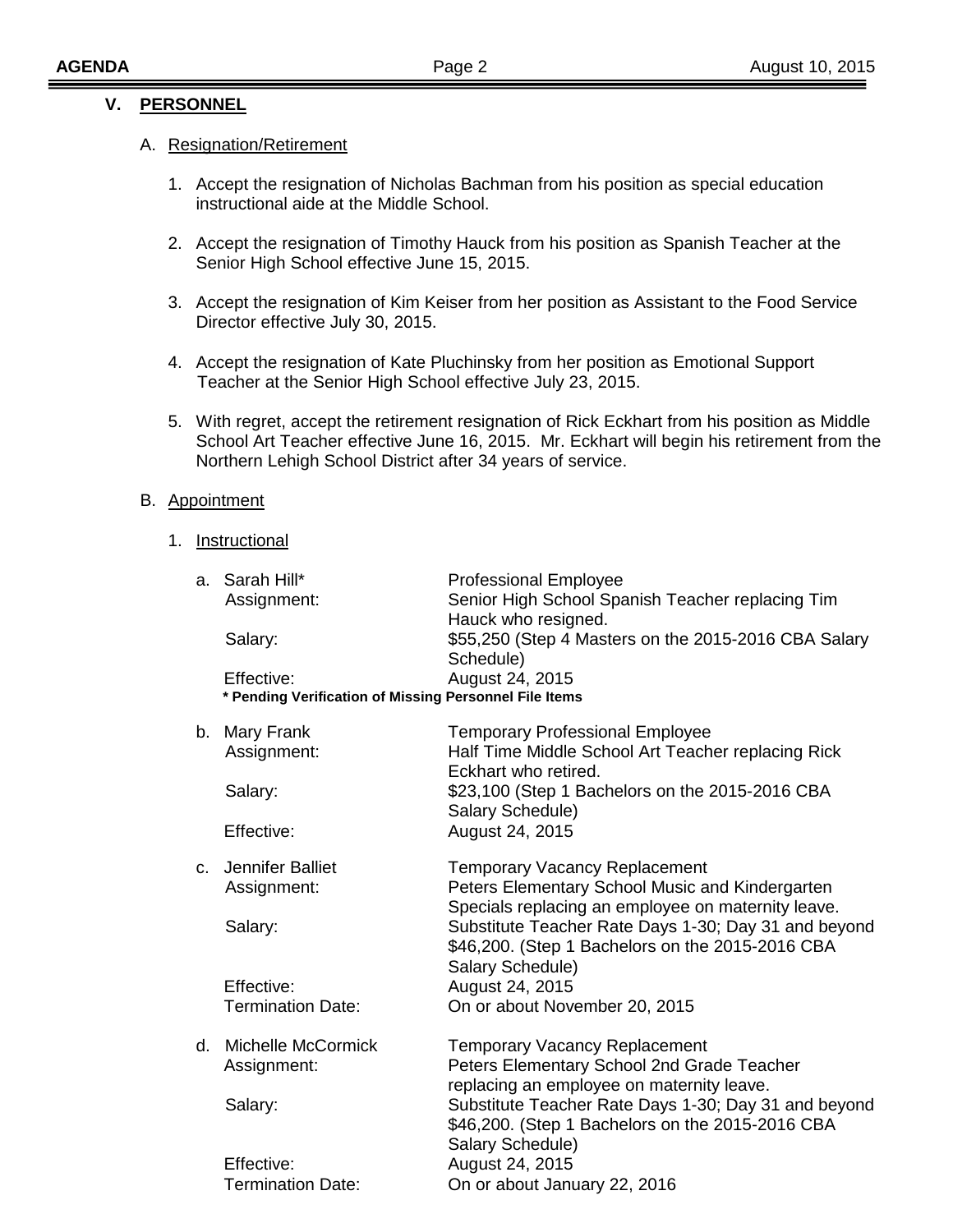## **V. PERSONNEL**

## A. Resignation/Retirement

- 1. Accept the resignation of Nicholas Bachman from his position as special education instructional aide at the Middle School.
- 2. Accept the resignation of Timothy Hauck from his position as Spanish Teacher at the Senior High School effective June 15, 2015.
- 3. Accept the resignation of Kim Keiser from her position as Assistant to the Food Service Director effective July 30, 2015.
- 4. Accept the resignation of Kate Pluchinsky from her position as Emotional Support Teacher at the Senior High School effective July 23, 2015.
- 5. With regret, accept the retirement resignation of Rick Eckhart from his position as Middle School Art Teacher effective June 16, 2015. Mr. Eckhart will begin his retirement from the Northern Lehigh School District after 34 years of service.

## B. Appointment

1. <u>Instructional</u>

|    | a. Sarah Hill*<br>Assignment:                                        | <b>Professional Employee</b><br>Senior High School Spanish Teacher replacing Tim<br>Hauck who resigned.                                       |
|----|----------------------------------------------------------------------|-----------------------------------------------------------------------------------------------------------------------------------------------|
|    | Salary:                                                              | \$55,250 (Step 4 Masters on the 2015-2016 CBA Salary<br>Schedule)                                                                             |
|    | Effective:<br>* Pending Verification of Missing Personnel File Items | August 24, 2015                                                                                                                               |
|    | b. Mary Frank<br>Assignment:                                         | <b>Temporary Professional Employee</b><br>Half Time Middle School Art Teacher replacing Rick<br>Eckhart who retired.                          |
|    | Salary:                                                              | \$23,100 (Step 1 Bachelors on the 2015-2016 CBA<br>Salary Schedule)                                                                           |
|    | Effective:                                                           | August 24, 2015                                                                                                                               |
|    | c. Jennifer Balliet<br>Assignment:                                   | <b>Temporary Vacancy Replacement</b><br>Peters Elementary School Music and Kindergarten<br>Specials replacing an employee on maternity leave. |
|    | Salary:                                                              | Substitute Teacher Rate Days 1-30; Day 31 and beyond<br>\$46,200. (Step 1 Bachelors on the 2015-2016 CBA<br>Salary Schedule)                  |
|    | Effective:                                                           | August 24, 2015                                                                                                                               |
|    | <b>Termination Date:</b>                                             | On or about November 20, 2015                                                                                                                 |
| d. | Michelle McCormick                                                   | <b>Temporary Vacancy Replacement</b>                                                                                                          |
|    | Assignment:                                                          | Peters Elementary School 2nd Grade Teacher<br>replacing an employee on maternity leave.                                                       |
|    | Salary:                                                              | Substitute Teacher Rate Days 1-30; Day 31 and beyond<br>\$46,200. (Step 1 Bachelors on the 2015-2016 CBA<br>Salary Schedule)                  |
|    | Effective:                                                           | August 24, 2015                                                                                                                               |
|    | <b>Termination Date:</b>                                             | On or about January 22, 2016                                                                                                                  |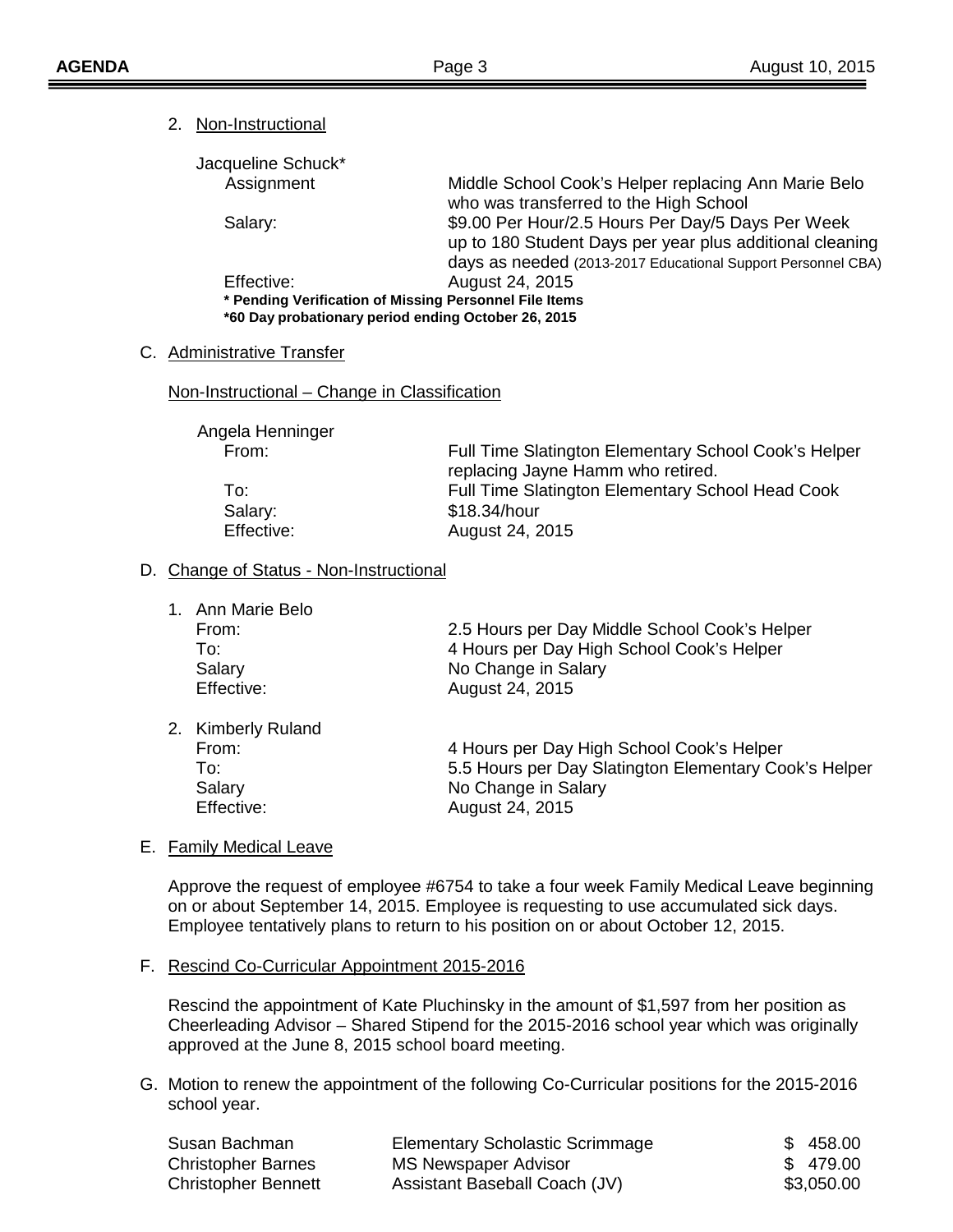## 2. <u>Non-Instructional</u>

| Jacqueline Schuck* |                                                                                                                                                                               |
|--------------------|-------------------------------------------------------------------------------------------------------------------------------------------------------------------------------|
| Assignment         | Middle School Cook's Helper replacing Ann Marie Belo<br>who was transferred to the High School                                                                                |
| Salary:            | \$9.00 Per Hour/2.5 Hours Per Day/5 Days Per Week<br>up to 180 Student Days per year plus additional cleaning<br>days as needed (2013-2017 Educational Support Personnel CBA) |
| Effective:         | August 24, 2015                                                                                                                                                               |
|                    | * Pending Verification of Missing Personnel File Items                                                                                                                        |
|                    | *60 Day probationary period ending October 26, 2015                                                                                                                           |

#### C. Administrative Transfer

## Non-Instructional – Change in Classification

Angela Henninger

From: Full Time Slatington Elementary School Cook's Helper replacing Jayne Hamm who retired. To: Full Time Slatington Elementary School Head Cook Salary: \$18.34/hour Effective: August 24, 2015

## D. Change of Status - Non-Instructional

| 1. Ann Marie Belo  |                                                       |
|--------------------|-------------------------------------------------------|
| From:              | 2.5 Hours per Day Middle School Cook's Helper         |
| To:                | 4 Hours per Day High School Cook's Helper             |
| Salary             | No Change in Salary                                   |
| Effective:         | August 24, 2015                                       |
| 2. Kimberly Ruland |                                                       |
| From:              | 4 Hours per Day High School Cook's Helper             |
| To∶                | 5.5 Hours per Day Slatington Elementary Cook's Helper |
| Salary             | No Change in Salary                                   |
| Effective:         | August 24, 2015                                       |
|                    |                                                       |

#### E. <u>Family Medical Leave</u>

Approve the request of employee #6754 to take a four week Family Medical Leave beginning on or about September 14, 2015. Employee is requesting to use accumulated sick days. Employee tentatively plans to return to his position on or about October 12, 2015.

## F. Rescind Co-Curricular Appointment 2015-2016

Rescind the appointment of Kate Pluchinsky in the amount of \$1,597 from her position as Cheerleading Advisor – Shared Stipend for the 2015-2016 school year which was originally approved at the June 8, 2015 school board meeting.

G. Motion to renew the appointment of the following Co-Curricular positions for the 2015-2016 school year.

| Susan Bachman              | <b>Elementary Scholastic Scrimmage</b> | \$458.00   |
|----------------------------|----------------------------------------|------------|
| <b>Christopher Barnes</b>  | MS Newspaper Advisor                   | \$479.00   |
| <b>Christopher Bennett</b> | Assistant Baseball Coach (JV)          | \$3,050.00 |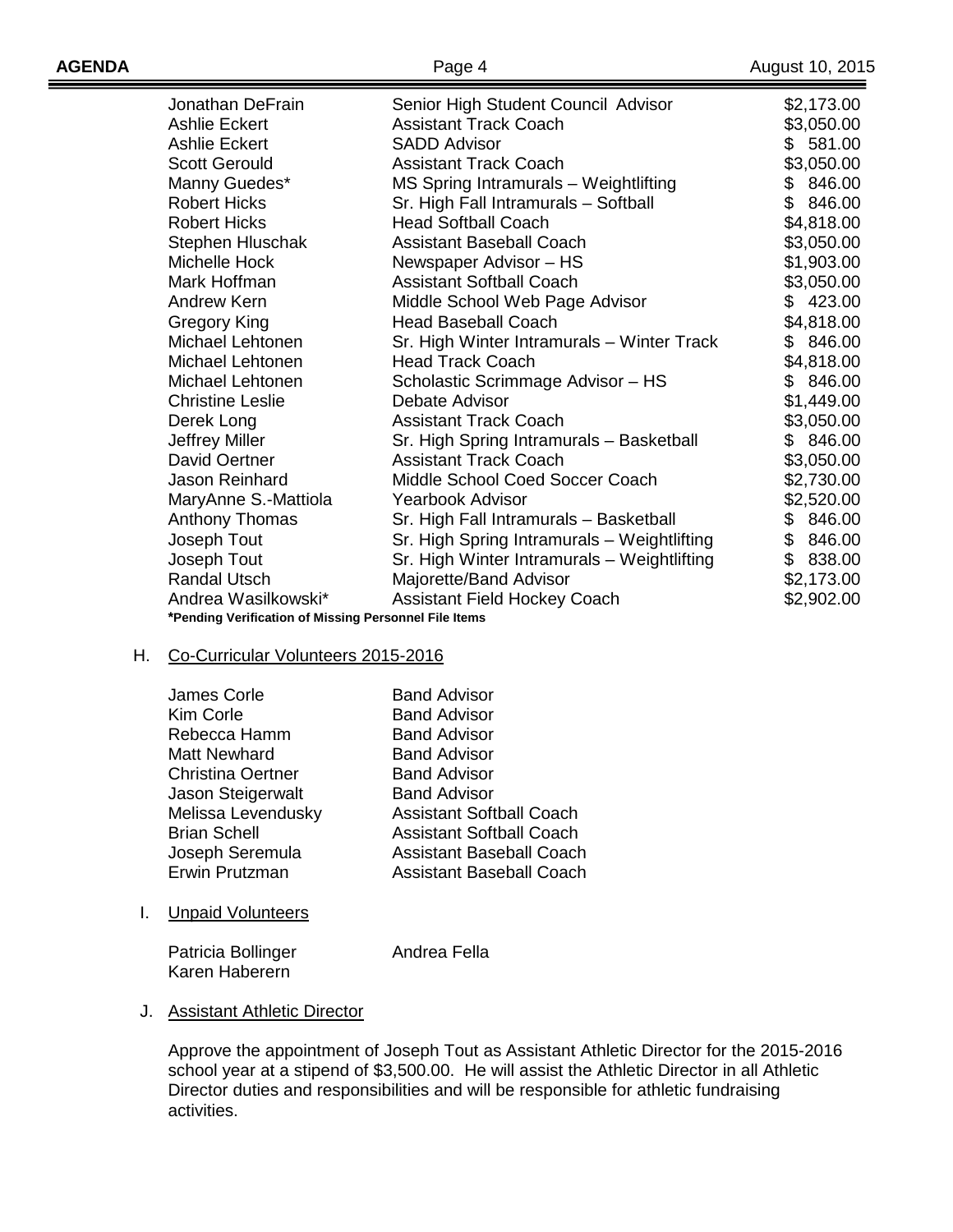| <b>AGENDA</b> |  |
|---------------|--|
|---------------|--|

| Jonathan DeFrain                                      | Senior High Student Council Advisor         | \$2,173.00   |
|-------------------------------------------------------|---------------------------------------------|--------------|
| <b>Ashlie Eckert</b>                                  | <b>Assistant Track Coach</b>                | \$3,050.00   |
| <b>Ashlie Eckert</b>                                  | <b>SADD Advisor</b>                         | \$581.00     |
| <b>Scott Gerould</b>                                  | <b>Assistant Track Coach</b>                | \$3,050.00   |
| Manny Guedes*                                         | MS Spring Intramurals - Weightlifting       | 846.00<br>\$ |
| <b>Robert Hicks</b>                                   | Sr. High Fall Intramurals - Softball        | 846.00<br>\$ |
| <b>Robert Hicks</b>                                   | <b>Head Softball Coach</b>                  | \$4,818.00   |
| Stephen Hluschak                                      | <b>Assistant Baseball Coach</b>             | \$3,050.00   |
| Michelle Hock                                         | Newspaper Advisor - HS                      | \$1,903.00   |
| Mark Hoffman                                          | <b>Assistant Softball Coach</b>             | \$3,050.00   |
| Andrew Kern                                           | Middle School Web Page Advisor              | 423.00<br>\$ |
| Gregory King                                          | <b>Head Baseball Coach</b>                  | \$4,818.00   |
| Michael Lehtonen                                      | Sr. High Winter Intramurals - Winter Track  | \$846.00     |
| Michael Lehtonen                                      | <b>Head Track Coach</b>                     | \$4,818.00   |
| Michael Lehtonen                                      | Scholastic Scrimmage Advisor - HS           | \$846.00     |
| <b>Christine Leslie</b>                               | Debate Advisor                              | \$1,449.00   |
| Derek Long                                            | <b>Assistant Track Coach</b>                | \$3,050.00   |
| Jeffrey Miller                                        | Sr. High Spring Intramurals - Basketball    | \$ 846.00    |
| David Oertner                                         | <b>Assistant Track Coach</b>                | \$3,050.00   |
| Jason Reinhard                                        | Middle School Coed Soccer Coach             | \$2,730.00   |
| MaryAnne S.-Mattiola                                  | <b>Yearbook Advisor</b>                     | \$2,520.00   |
| <b>Anthony Thomas</b>                                 | Sr. High Fall Intramurals - Basketball      | 846.00<br>\$ |
| Joseph Tout                                           | Sr. High Spring Intramurals - Weightlifting | \$<br>846.00 |
| Joseph Tout                                           | Sr. High Winter Intramurals - Weightlifting | 838.00<br>\$ |
| <b>Randal Utsch</b>                                   | Majorette/Band Advisor                      | \$2,173.00   |
| Andrea Wasilkowski*                                   | Assistant Field Hockey Coach                | \$2,902.00   |
| *Pending Verification of Missing Personnel File Items |                                             |              |

#### H. Co-Curricular Volunteers 2015-2016

James Corle **Band Advisor** Kim Corle **Band Advisor** Rebecca Hamm Band Advisor<br>
Matt Newhard Band Advisor Matt Newhard<br>
Christina Oertner<br>
Band Advisor Christina Oertner Jason Steigerwalt **Band Advisor**<br>
Melissa Levendusky **Band Assistant Soft** 

Assistant Softball Coach **Brian Schell Assistant Softball Coach** Joseph Seremula<br>
Erwin Prutzman Assistant Baseball Coach **Assistant Baseball Coach** 

I. Unpaid Volunteers

Patricia Bollinger **Andrea Fella** Karen Haberern

J. Assistant Athletic Director

Approve the appointment of Joseph Tout as Assistant Athletic Director for the 2015-2016 school year at a stipend of \$3,500.00. He will assist the Athletic Director in all Athletic Director duties and responsibilities and will be responsible for athletic fundraising activities.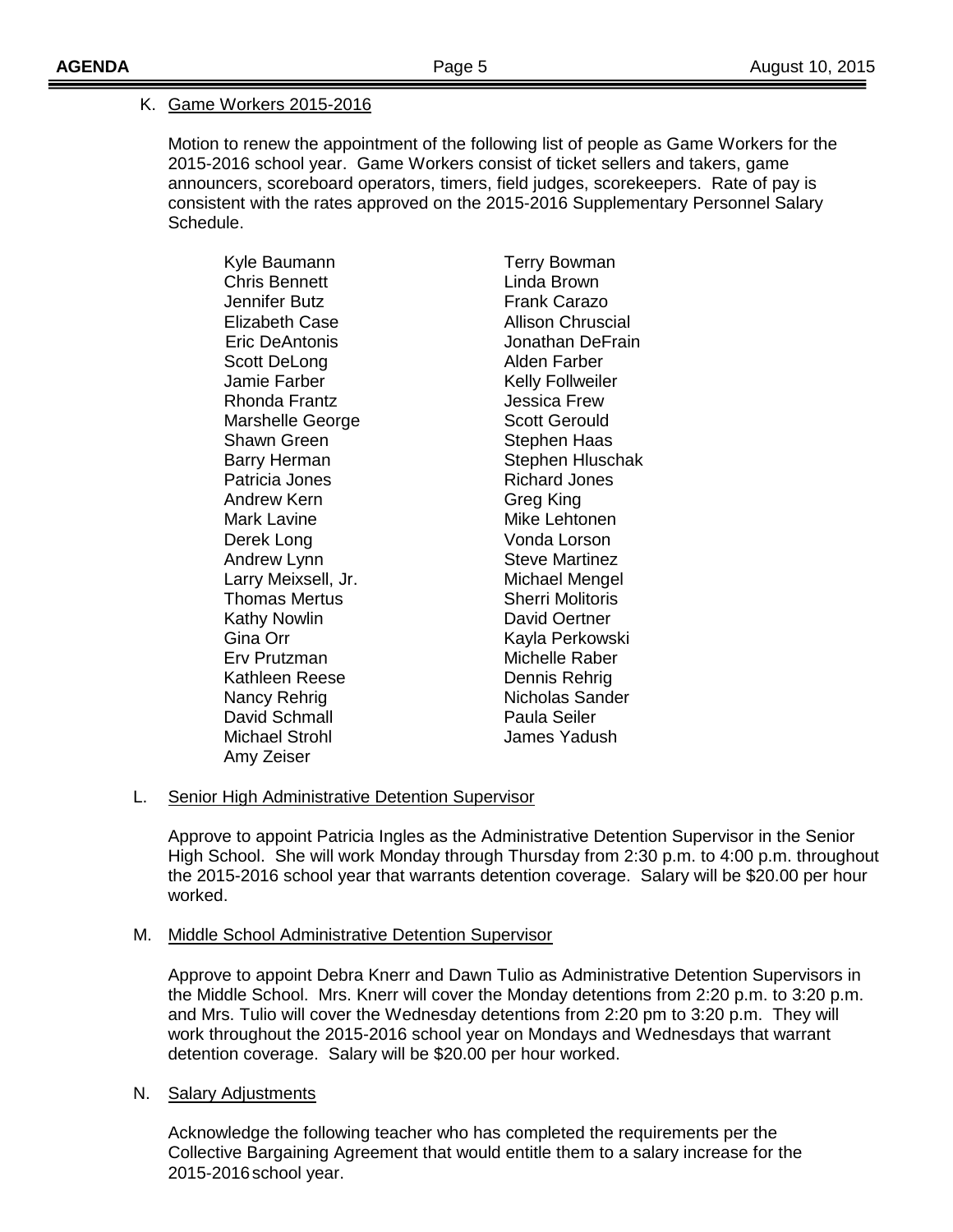# K. Game Workers 2015-2016

Motion to renew the appointment of the following list of people as Game Workers for the 2015-2016 school year. Game Workers consist of ticket sellers and takers, game announcers, scoreboard operators, timers, field judges, scorekeepers. Rate of pay is consistent with the rates approved on the 2015-2016 Supplementary Personnel Salary Schedule.

Kyle Baumann **Terry Bowman**<br>
Chris Bennett **Terry Bowman** Chris Bennett Jennifer Butz **Frank Carazo** Elizabeth Case **Allison Chruscial**  Eric DeAntonis Jonathan DeFrain Scott DeLong **Alden Farber** Jamie Farber Newster Kelly Follweiler Rhonda Frantz **International Students** Jessica Frew Marshelle George Scott Gerould Shawn Green Stephen Haas Barry Herman Stephen Hluschak Patricia Jones Richard Jones Andrew Kern Mark Lavine **Mike Lehtonen**<br>
Derek Long Mark Monda Lorson Derek Long Andrew Lynn Steve Martinez Larry Meixsell, Jr. **Michael Mengel Thomas Mertus Communist Communist Communist Communist Communist Communist Communist Communist Communist Communist Communist Communist Communist Communist Communist Communist Communist Communist Communist Communist Communi** Kathy Nowlin **David Oertner** Gina Orr **Kayla Perkowski** Erv Prutzman Michelle Raber Kathleen Reese Dennis Rehrig Nancy Rehrig Nicholas Sander David Schmall **Paula Seiler** Michael Strohl James Yadush Amy Zeiser

#### L. Senior High Administrative Detention Supervisor

Approve to appoint Patricia Ingles as the Administrative Detention Supervisor in the Senior High School. She will work Monday through Thursday from 2:30 p.m. to 4:00 p.m. throughout the 2015-2016 school year that warrants detention coverage. Salary will be \$20.00 per hour worked.

## M. Middle School Administrative Detention Supervisor

Approve to appoint Debra Knerr and Dawn Tulio as Administrative Detention Supervisors in the Middle School. Mrs. Knerr will cover the Monday detentions from 2:20 p.m. to 3:20 p.m. and Mrs. Tulio will cover the Wednesday detentions from 2:20 pm to 3:20 p.m. They will work throughout the 2015-2016 school year on Mondays and Wednesdays that warrant detention coverage. Salary will be \$20.00 per hour worked.

# N. Salary Adjustments

Acknowledge the following teacher who has completed the requirements per the Collective Bargaining Agreement that would entitle them to a salary increase for the 2015-2016school year.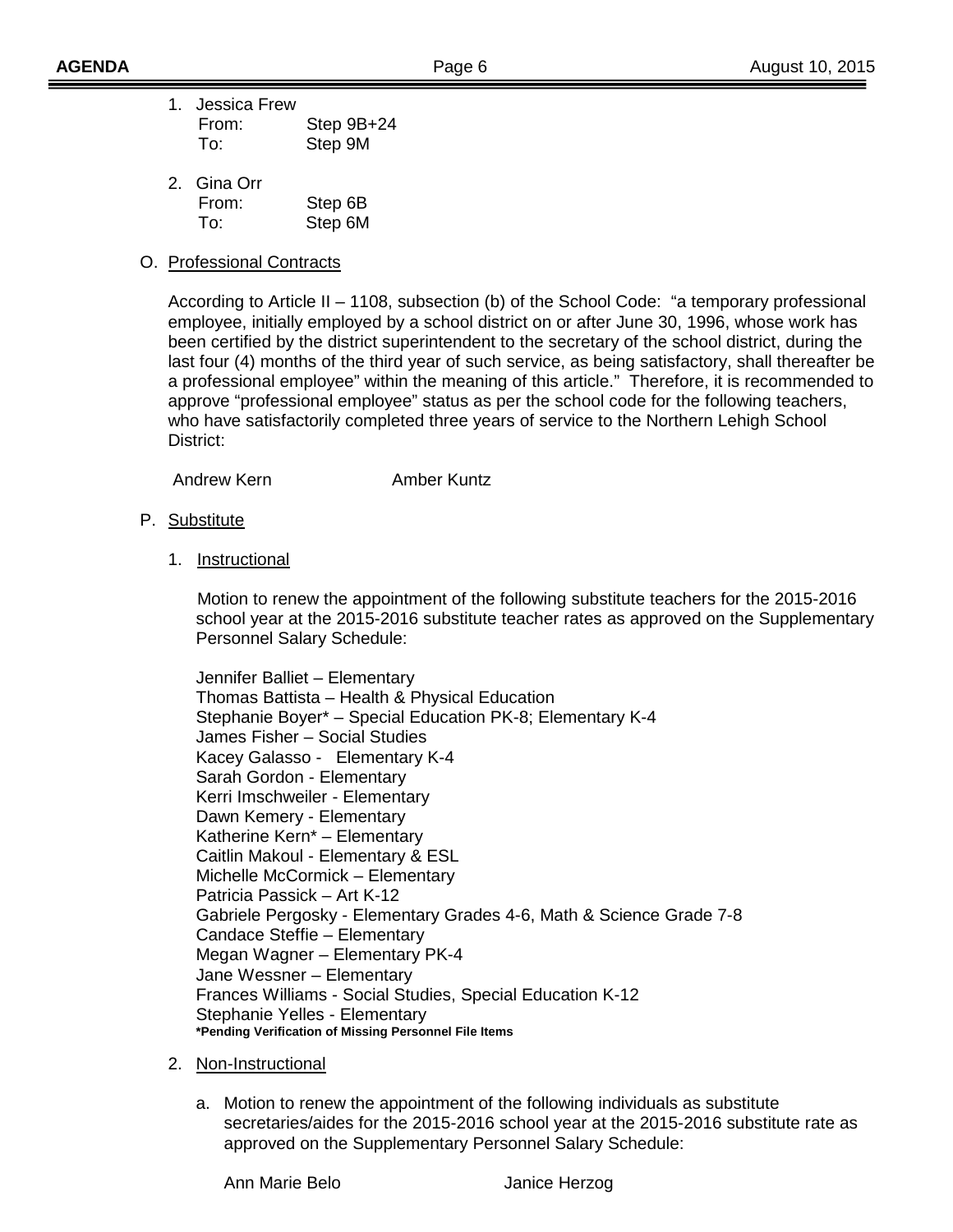- 1. Jessica Frew From: Step 9B+24 To: Step 9M
- 2. Gina Orr From: Step 6B To: Step 6M
- O. **Professional Contracts**

According to Article II – 1108, subsection (b) of the School Code: "a temporary professional employee, initially employed by a school district on or after June 30, 1996, whose work has been certified by the district superintendent to the secretary of the school district, during the last four (4) months of the third year of such service, as being satisfactory, shall thereafter be a professional employee" within the meaning of this article." Therefore, it is recommended to approve "professional employee" status as per the school code for the following teachers, who have satisfactorily completed three years of service to the Northern Lehigh School District:

Andrew Kern **Amber Kuntz** 

- P. <u>Substitute</u>
	- 1. Instructional

 Motion to renew the appointment of the following substitute teachers for the 2015-2016 school year at the 2015-2016 substitute teacher rates as approved on the Supplementary Personnel Salary Schedule:

Jennifer Balliet – Elementary Thomas Battista – Health & Physical Education Stephanie Boyer\* – Special Education PK-8; Elementary K-4 James Fisher – Social Studies Kacey Galasso - Elementary K-4 Sarah Gordon - Elementary Kerri Imschweiler - Elementary Dawn Kemery - Elementary Katherine Kern\* – Elementary Caitlin Makoul - Elementary & ESL Michelle McCormick – Elementary Patricia Passick – Art K-12 Gabriele Pergosky - Elementary Grades 4-6, Math & Science Grade 7-8 Candace Steffie – Elementary Megan Wagner – Elementary PK-4 Jane Wessner – Elementary Frances Williams - Social Studies, Special Education K-12 Stephanie Yelles - Elementary **\*Pending Verification of Missing Personnel File Items**

- 2. Non-Instructional
	- a. Motion to renew the appointment of the following individuals as substitute secretaries/aides for the 2015-2016 school year at the 2015-2016 substitute rate as approved on the Supplementary Personnel Salary Schedule:

Ann Marie Belo Janice Herzog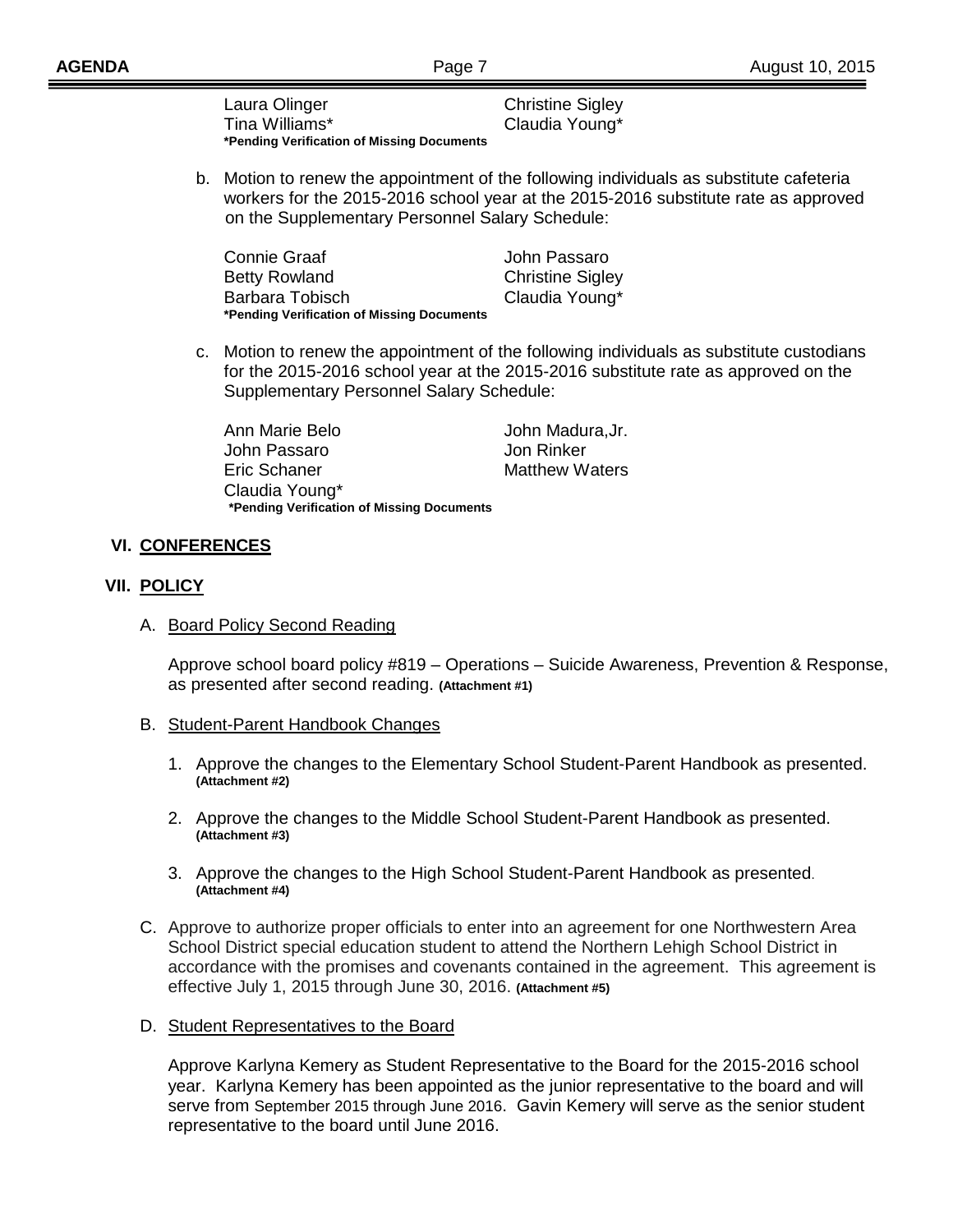Laura Olinger **Christine Sigley** Tina Williams\* Claudia Young\* **\*Pending Verification of Missing Documents**

b. Motion to renew the appointment of the following individuals as substitute cafeteria workers for the 2015-2016 school year at the 2015-2016 substitute rate as approved on the Supplementary Personnel Salary Schedule:

| Connie Graaf                               | John Passaro            |
|--------------------------------------------|-------------------------|
| Betty Rowland                              | <b>Christine Sigley</b> |
| Barbara Tobisch                            | Claudia Young*          |
| *Pending Verification of Missing Documents |                         |

c. Motion to renew the appointment of the following individuals as substitute custodians for the 2015-2016 school year at the 2015-2016 substitute rate as approved on the Supplementary Personnel Salary Schedule:

Ann Marie Belo John Madura,Jr. John Passaro Jon Rinker **Eric Schaner** Matthew Waters Claudia Young\* **\*Pending Verification of Missing Documents**

# **VI. CONFERENCES**

## **VII. POLICY**

A. <u>Board Policy Second Reading</u>

Approve school board policy #819 – Operations – Suicide Awareness, Prevention & Response, as presented after second reading. **(Attachment #1)** 

- B. Student-Parent Handbook Changes
	- 1. Approve the changes to the Elementary School Student-Parent Handbook as presented. **(Attachment #2)**
	- 2. Approve the changes to the Middle School Student-Parent Handbook as presented. **(Attachment #3)**
	- 3. Approve the changes to the High School Student-Parent Handbook as presented. **(Attachment #4)**
- C. Approve to authorize proper officials to enter into an agreement for one Northwestern Area School District special education student to attend the Northern Lehigh School District in accordance with the promises and covenants contained in the agreement. This agreement is effective July 1, 2015 through June 30, 2016. **(Attachment #5)**
- D. Student Representatives to the Board

Approve Karlyna Kemery as Student Representative to the Board for the 2015-2016 school year. Karlyna Kemery has been appointed as the junior representative to the board and will serve from September 2015 through June 2016. Gavin Kemery will serve as the senior student representative to the board until June 2016.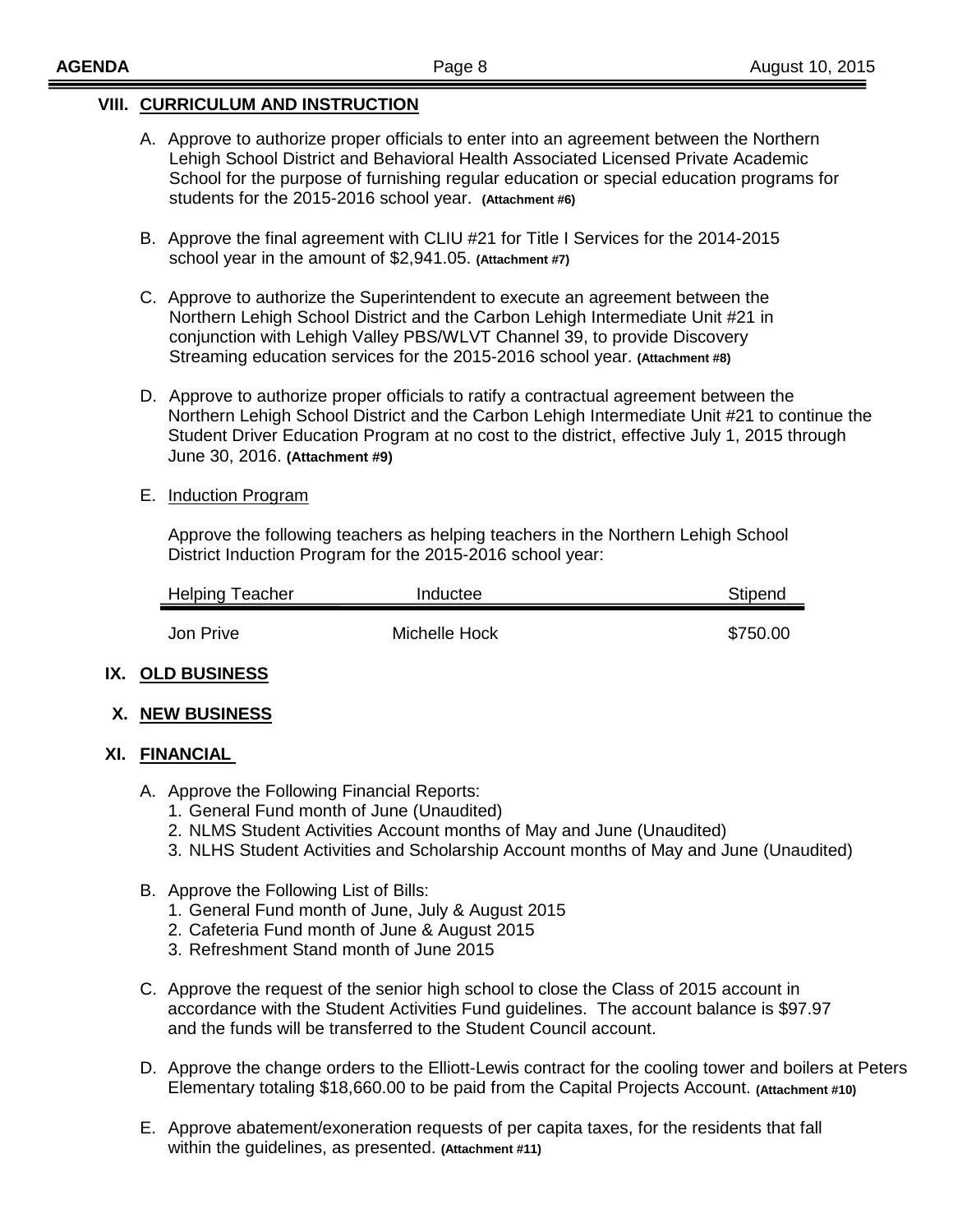## **VIII. CURRICULUM AND INSTRUCTION**

- A. Approve to authorize proper officials to enter into an agreement between the Northern Lehigh School District and Behavioral Health Associated Licensed Private Academic School for the purpose of furnishing regular education or special education programs for students for the 2015-2016 school year. **(Attachment #6)**
- B. Approve the final agreement with CLIU #21 for Title I Services for the 2014-2015 school year in the amount of \$2,941.05. **(Attachment #7)**
- C. Approve to authorize the Superintendent to execute an agreement between the Northern Lehigh School District and the Carbon Lehigh Intermediate Unit #21 in conjunction with Lehigh Valley PBS/WLVT Channel 39, to provide Discovery Streaming education services for the 2015-2016 school year. **(Attachment #8)**
- D. Approve to authorize proper officials to ratify a contractual agreement between the Northern Lehigh School District and the Carbon Lehigh Intermediate Unit #21 to continue the Student Driver Education Program at no cost to the district, effective July 1, 2015 through June 30, 2016. **(Attachment #9)**

### E. Induction Program

Approve the following teachers as helping teachers in the Northern Lehigh School District Induction Program for the 2015-2016 school year:

| <b>Helping Teacher</b> | Inductee      | Stipend  |
|------------------------|---------------|----------|
| Jon Prive              | Michelle Hock | \$750.00 |

## **IX. OLD BUSINESS**

## **X. NEW BUSINESS**

#### **XI. FINANCIAL**

- A. Approve the Following Financial Reports:
	- 1. General Fund month of June (Unaudited)
	- 2. NLMS Student Activities Account months of May and June (Unaudited)
	- 3. NLHS Student Activities and Scholarship Account months of May and June (Unaudited)
- B. Approve the Following List of Bills:
	- 1. General Fund month of June, July & August 2015
	- 2. Cafeteria Fund month of June & August 2015
	- 3. Refreshment Stand month of June 2015
- C. Approve the request of the senior high school to close the Class of 2015 account in accordance with the Student Activities Fund guidelines. The account balance is \$97.97 and the funds will be transferred to the Student Council account.
- D. Approve the change orders to the Elliott-Lewis contract for the cooling tower and boilers at Peters Elementary totaling \$18,660.00 to be paid from the Capital Projects Account. **(Attachment #10)**
- E. Approve abatement/exoneration requests of per capita taxes, for the residents that fall within the guidelines, as presented. **(Attachment #11)**